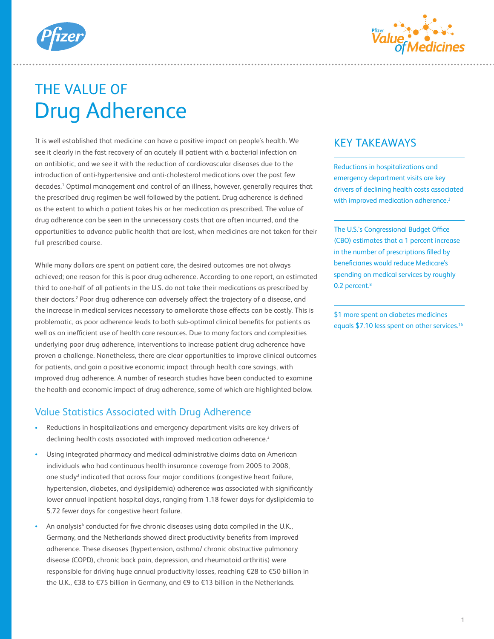



# THE VALUE OF Drug Adherence

It is well established that medicine can have a positive impact on people's health. We see it clearly in the fast recovery of an acutely ill patient with a bacterial infection on an antibiotic, and we see it with the reduction of cardiovascular diseases due to the introduction of anti-hypertensive and anti-cholesterol medications over the past few decades.1 Optimal management and control of an illness, however, generally requires that the prescribed drug regimen be well followed by the patient. Drug adherence is defined as the extent to which a patient takes his or her medication as prescribed. The value of drug adherence can be seen in the unnecessary costs that are often incurred, and the opportunities to advance public health that are lost, when medicines are not taken for their full prescribed course.

While many dollars are spent on patient care, the desired outcomes are not always achieved; one reason for this is poor drug adherence. According to one report, an estimated third to one-half of all patients in the U.S. do not take their medications as prescribed by their doctors.<sup>2</sup> Poor drug adherence can adversely affect the trajectory of a disease, and the increase in medical services necessary to ameliorate those effects can be costly. This is problematic, as poor adherence leads to both sub-optimal clinical benefits for patients as well as an inefficient use of health care resources. Due to many factors and complexities underlying poor drug adherence, interventions to increase patient drug adherence have proven a challenge. Nonetheless, there are clear opportunities to improve clinical outcomes for patients, and gain a positive economic impact through health care savings, with improved drug adherence. A number of research studies have been conducted to examine the health and economic impact of drug adherence, some of which are highlighted below.

#### Value Statistics Associated with Drug Adherence

- Reductions in hospitalizations and emergency department visits are key drivers of declining health costs associated with improved medication adherence.<sup>3</sup>
- Using integrated pharmacy and medical administrative claims data on American individuals who had continuous health insurance coverage from 2005 to 2008, one study<sup>3</sup> indicated that across four major conditions (congestive heart failure, hypertension, diabetes, and dyslipidemia) adherence was associated with significantly lower annual inpatient hospital days, ranging from 1.18 fewer days for dyslipidemia to 5.72 fewer days for congestive heart failure.
- An analysis<sup>4</sup> conducted for five chronic diseases using data compiled in the U.K., Germany, and the Netherlands showed direct productivity benefits from improved adherence. These diseases (hypertension, asthma/ chronic obstructive pulmonary disease (COPD), chronic back pain, depression, and rheumatoid arthritis) were responsible for driving huge annual productivity losses, reaching €28 to €50 billion in the U.K., €38 to €75 billion in Germany, and €9 to €13 billion in the Netherlands.

## KEY TAKEAWAYS

Reductions in hospitalizations and emergency department visits are key drivers of declining health costs associated with improved medication adherence.<sup>3</sup>

The U.S.'s Congressional Budget Office (CBO) estimates that a 1 percent increase in the number of prescriptions filled by beneficiaries would reduce Medicare's spending on medical services by roughly 0.2 percent.<sup>8</sup>

\$1 more spent on diabetes medicines equals \$7.10 less spent on other services.<sup>15</sup>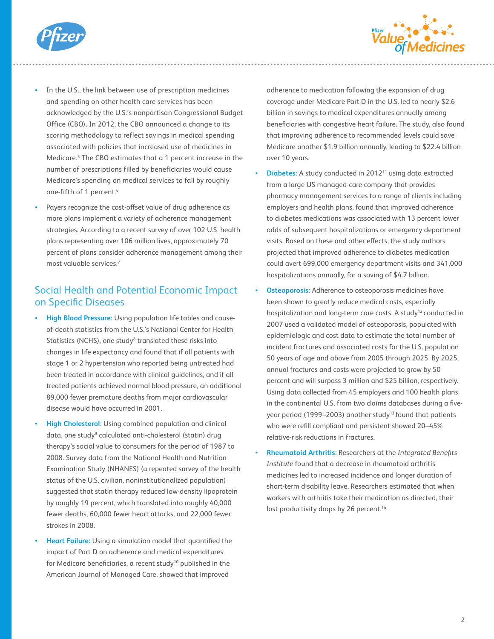



- In the U.S., the link between use of prescription medicines and spending on other health care services has been acknowledged by the U.S.'s nonpartisan Congressional Budget Office (CBO). In 2012, the CBO announced a change to its scoring methodology to reflect savings in medical spending associated with policies that increased use of medicines in Medicare.<sup>5</sup> The CBO estimates that a 1 percent increase in the number of prescriptions filled by beneficiaries would cause Medicare's spending on medical services to fall by roughly one-fifth of 1 percent.<sup>6</sup>
- Payers recognize the cost-offset value of drug adherence as more plans implement a variety of adherence management strategies. According to a recent survey of over 102 U.S. health plans representing over 106 million lives, approximately 70 percent of plans consider adherence management among their most valuable services.7

### Social Health and Potential Economic Impact on Specific Diseases

- **High Blood Pressure:** Using population life tables and causeof-death statistics from the U.S.'s National Center for Health Statistics (NCHS), one study<sup>8</sup> translated these risks into changes in life expectancy and found that if all patients with stage 1 or 2 hypertension who reported being untreated had been treated in accordance with clinical guidelines, and if all treated patients achieved normal blood pressure, an additional 89,000 fewer premature deaths from major cardiovascular disease would have occurred in 2001.
- **High Cholesterol:** Using combined population and clinical data, one study<sup>9</sup> calculated anti-cholesterol (statin) drug therapy's social value to consumers for the period of 1987 to 2008. Survey data from the National Health and Nutrition Examination Study (NHANES) (a repeated survey of the health status of the U.S. civilian, noninstitutionalized population) suggested that statin therapy reduced low-density lipoprotein by roughly 19 percent, which translated into roughly 40,000 fewer deaths, 60,000 fewer heart attacks, and 22,000 fewer strokes in 2008.
- **Heart Failure:** Using a simulation model that quantified the impact of Part D on adherence and medical expenditures for Medicare beneficiaries, a recent study<sup>10</sup> published in the American Journal of Managed Care, showed that improved

adherence to medication following the expansion of drug coverage under Medicare Part D in the U.S. led to nearly \$2.6 billion in savings to medical expenditures annually among beneficiaries with congestive heart failure. The study, also found that improving adherence to recommended levels could save Medicare another \$1.9 billion annually, leading to \$22.4 billion over 10 years.

- **Diabetes:** A study conducted in 201211 using data extracted from a large US managed-care company that provides pharmacy management services to a range of clients including employers and health plans, found that improved adherence to diabetes medications was associated with 13 percent lower odds of subsequent hospitalizations or emergency department visits. Based on these and other effects, the study authors projected that improved adherence to diabetes medication could avert 699,000 emergency department visits and 341,000 hospitalizations annually, for a saving of \$4.7 billion.
- **Osteoporosis:** Adherence to osteoporosis medicines have been shown to greatly reduce medical costs, especially hospitalization and long-term care costs. A study<sup>12</sup> conducted in 2007 used a validated model of osteoporosis, populated with epidemiologic and cost data to estimate the total number of incident fractures and associated costs for the U.S. population 50 years of age and above from 2005 through 2025. By 2025, annual fractures and costs were projected to grow by 50 percent and will surpass 3 million and \$25 billion, respectively. Using data collected from 45 employers and 100 health plans in the continental U.S. from two claims databases during a fiveyear period (1999–2003) another study<sup>13</sup> found that patients who were refill compliant and persistent showed 20–45% relative-risk reductions in fractures.
- **Rheumatoid Arthritis:** Researchers at the *Integrated Benefits Institute* found that a decrease in rheumatoid arthritis medicines led to increased incidence and longer duration of short-term disability leave. Researchers estimated that when workers with arthritis take their medication as directed, their lost productivity drops by 26 percent.<sup>14</sup>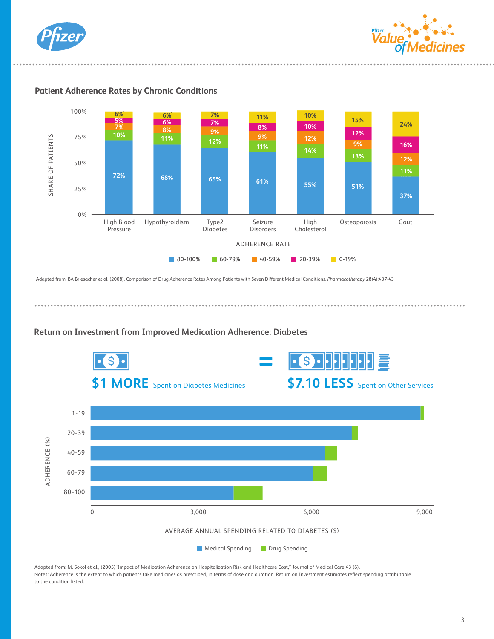





**Patient Adherence Rates by Chronic Conditions**

Adapted from: BA Briesacher et al. (2008). Comparison of Drug Adherence Rates Among Patients with Seven Di£erent Medical Conditions. *Pharmacotherapy* 28(4):437-43

**Conditions** 



Adapted from: M. Sokol et al., (2005)"Impact of Medication Adherence on Hospitalization Risk and Healthcare Cost," Journal of Medical Care 43 (6). Notes: Adherence is the extent to which patients take medicines as prescribed, in terms of dose and duration. Return on Investment estimates reflect spending attributable to the condition listed.